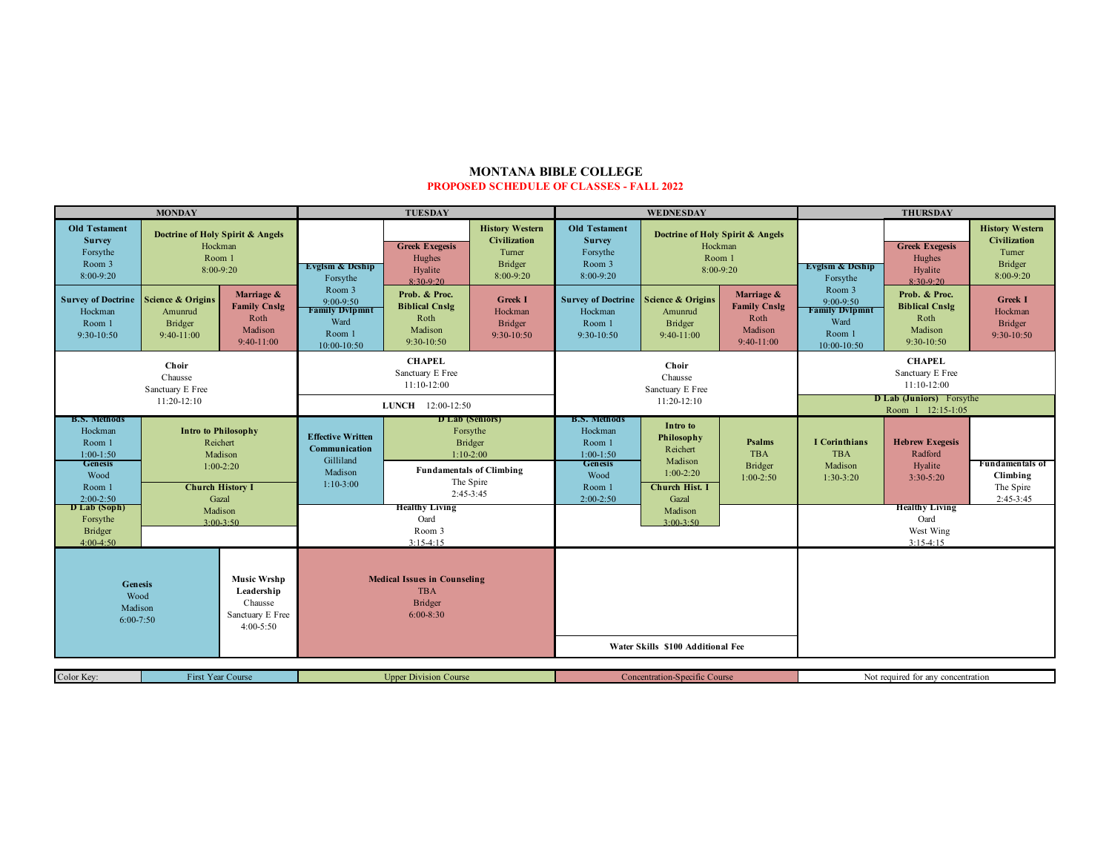## **MONTANA BIBLE COLLEGE PROPOSED SCHEDULE OF CLASSES - FALL 2022**

| <b>MONDAY</b>                                                                               |                                                                                                                                                                                                            |                                                                                | <b>TUESDAY</b>                                                                                                                                                                                   |                                                                           |                                                                                 | WEDNESDAY                                                                                   |                                                                                |                                                                      | <b>THURSDAY</b>                                                                 |                                                                         |                                                                                 |
|---------------------------------------------------------------------------------------------|------------------------------------------------------------------------------------------------------------------------------------------------------------------------------------------------------------|--------------------------------------------------------------------------------|--------------------------------------------------------------------------------------------------------------------------------------------------------------------------------------------------|---------------------------------------------------------------------------|---------------------------------------------------------------------------------|---------------------------------------------------------------------------------------------|--------------------------------------------------------------------------------|----------------------------------------------------------------------|---------------------------------------------------------------------------------|-------------------------------------------------------------------------|---------------------------------------------------------------------------------|
| <b>Old Testament</b><br><b>Survey</b><br>Forsythe<br>Room 3<br>8:00-9:20                    | Doctrine of Holy Spirit & Angels<br>Hockman<br>Room 1<br>8:00-9:20                                                                                                                                         |                                                                                | <b>Evglsm &amp; Deship</b><br>Forsythe                                                                                                                                                           | <b>Greek Exegesis</b><br>Hughes<br>Hyalite<br>$8:30-9:20$                 | <b>History Western</b><br><b>Civilization</b><br>Turner<br>Bridger<br>8:00-9:20 | <b>Old Testament</b><br><b>Survey</b><br>Forsythe<br>Room 3<br>8:00-9:20                    |                                                                                | Doctrine of Holy Spirit & Angels<br>Hockman<br>Room 1<br>$8:00-9:20$ |                                                                                 | <b>Greek Exegesis</b><br>Hughes<br>Hyalite<br>8:30-9:20                 | <b>History Western</b><br><b>Civilization</b><br>Turner<br>Bridger<br>8:00-9:20 |
| <b>Survey of Doctrine</b><br>Hockman<br>Room 1<br>9:30-10:50                                | <b>Science &amp; Origins</b><br>Amunrud<br><b>Bridger</b><br>$9:40-11:00$                                                                                                                                  | Marriage &<br><b>Family Cnslg</b><br>Roth<br>Madison<br>$9:40-11:00$           | Room 3<br>9:00-9:50<br><b>Family Dylpmnt</b><br>Ward<br>Room 1<br>10:00-10:50                                                                                                                    | Prob. & Proc.<br><b>Biblical Cnslg</b><br>Roth<br>Madison<br>$9:30-10:50$ | <b>Greek I</b><br>Hockman<br>Bridger<br>$9:30-10:50$                            | <b>Survey of Doctrine Science &amp; Origins</b><br>Hockman<br>Room 1<br>$9:30-10:50$        | Amunrud<br><b>Bridger</b><br>$9:40-11:00$                                      | Marriage &<br><b>Family Cnslg</b><br>Roth<br>Madison<br>$9:40-11:00$ | Room 3<br>$9:00-9:50$<br><b>Family Dylpmnt</b><br>Ward<br>Room 1<br>10:00-10:50 | Prob. & Proc.<br><b>Biblical Cnslg</b><br>Roth<br>Madison<br>9:30-10:50 | <b>Greek I</b><br>Hockman<br><b>Bridger</b><br>9:30-10:50                       |
| Choir<br>Chausse<br>Sanctuary E Free<br>$11:20-12:10$                                       |                                                                                                                                                                                                            |                                                                                | <b>CHAPEL</b><br>Sanctuary E Free<br>$11:10-12:00$                                                                                                                                               |                                                                           |                                                                                 | Choir<br>Chausse<br>Sanctuary E Free                                                        |                                                                                | <b>CHAPEL</b><br>Sanctuary E Free<br>$11:10-12:00$                   |                                                                                 |                                                                         |                                                                                 |
|                                                                                             |                                                                                                                                                                                                            |                                                                                | LUNCH 12:00-12:50                                                                                                                                                                                |                                                                           |                                                                                 | 11:20-12:10                                                                                 |                                                                                |                                                                      | D Lab (Juniors) Forsythe<br>Room 1 12:15-1:05                                   |                                                                         |                                                                                 |
| <b>B.S. Methods</b><br>Hockman<br>Room 1<br>$1:00-1:50$<br><b>Genesis</b><br>Wood<br>Room 1 | <b>Intro to Philosophy</b><br>Reichert<br>Madison<br>$1:00-2:20$<br><b>Church History I</b><br>$2:00-2:50$<br>Gazal<br>D Lab (Soph)<br>Madison<br>Forsythe<br>$3:00-3:50$<br><b>Bridger</b><br>$4:00-4:50$ |                                                                                | D Lab (Seniors)<br>Forsythe<br><b>Effective Written</b><br><b>Bridger</b><br>Communication<br>$1:10-2:00$<br>Gilliland<br><b>Fundamentals of Climbing</b><br>Madison<br>The Spire<br>$1:10-3:00$ |                                                                           |                                                                                 | <b>B.S. Methods</b><br>Hockman<br>Room 1<br>$1:00-1:50$<br><b>Genesis</b><br>Wood<br>Room 1 | Intro to<br>Philosophy<br>Reichert<br>Madison<br>$1:00-2:20$<br>Church Hist. I | Psalms<br><b>TBA</b><br><b>Bridger</b><br>$1:00-2:50$                | <b>I</b> Corinthians<br><b>TBA</b><br>Madison<br>$1:30-3:20$                    | <b>Hebrew Exegesis</b><br>Radford<br>Hyalite<br>$3:30-5:20$             | Fundamentals of<br>Climbing<br>The Spire                                        |
|                                                                                             |                                                                                                                                                                                                            |                                                                                | $2:45-3:45$<br><b>Healthy Living</b><br>Oard<br>Room 3<br>$3:15-4:15$                                                                                                                            |                                                                           | $2:00-2:50$<br>Gazal<br>Madison<br>$3:00-3:50$                                  |                                                                                             | $2:45-3:45$<br><b>Healthy Living</b><br>Oard<br>West Wing<br>$3:15-4:15$       |                                                                      |                                                                                 |                                                                         |                                                                                 |
| <b>Genesis</b><br>Wood<br>Madison<br>$6:00-7:50$                                            |                                                                                                                                                                                                            | <b>Music Wrshp</b><br>Leadership<br>Chausse<br>Sanctuary E Free<br>$4:00-5:50$ | <b>Medical Issues in Counseling</b><br><b>TBA</b><br><b>Bridger</b><br>$6:00-8:30$                                                                                                               |                                                                           |                                                                                 | Water Skills \$100 Additional Fee                                                           |                                                                                |                                                                      |                                                                                 |                                                                         |                                                                                 |
| Color Key:<br>First Year Course                                                             |                                                                                                                                                                                                            | <b>Upper Division Course</b>                                                   |                                                                                                                                                                                                  | Concentration-Specific Course                                             |                                                                                 |                                                                                             | Not required for any concentration                                             |                                                                      |                                                                                 |                                                                         |                                                                                 |